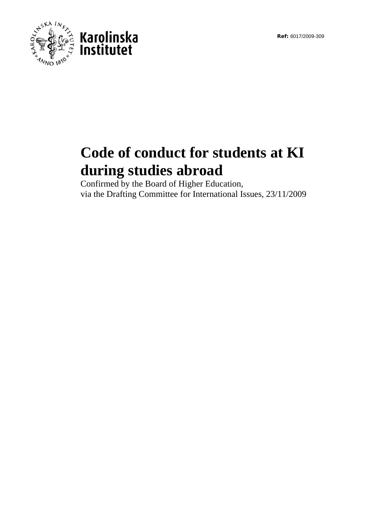**Ref:** 6017/2009-309



## **Code of conduct for students at KI during studies abroad**

Confirmed by the Board of Higher Education, via the Drafting Committee for International Issues, 23/11/2009